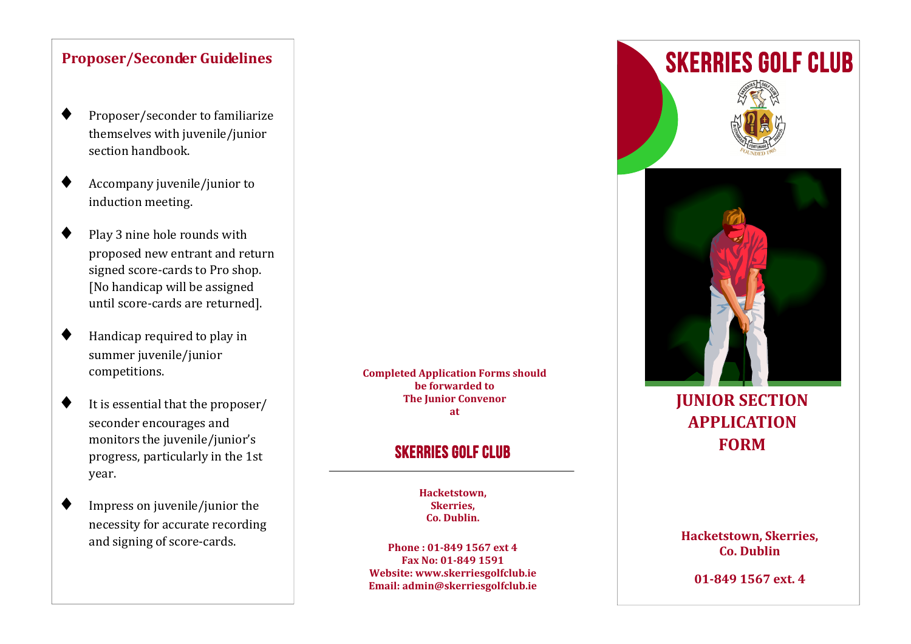- Proposer/seconder to familiarize themselves with juvenile/junior section handbook.
- Accompany juvenile/junior to induction meeting.
- Play 3 nine hole rounds with proposed new entrant and return signed score-cards to Pro shop. [No handicap will be assigned until score-cards are returned].
- Handicap required to play in summer juvenile/junior competitions.
- It is essential that the proposer/ seconder encourages and monitors the juvenile/junior's progress, particularly in the 1st year.
- Impress on juvenile/junior the necessity for accurate recording and signing of score-cards.

Completed Application Forms should be forwarded to The Junior Convenor at

## SKERRIES GOLF CLUB

Hacketstown, Skerries, Co. Dublin.

Phone : 01-849 1567 ext 4 Fax No: 01-849 1591 Website: www.skerriesgolfclub.ie Email: admin@skerriesgolfclub.ie

Skerries Golf Club Club Proposer/Seconder Guidelines





## JUNIOR SECTION APPLICATION FORM

Hacketstown, Skerries, Co. Dublin

01-849 1567 ext. 4